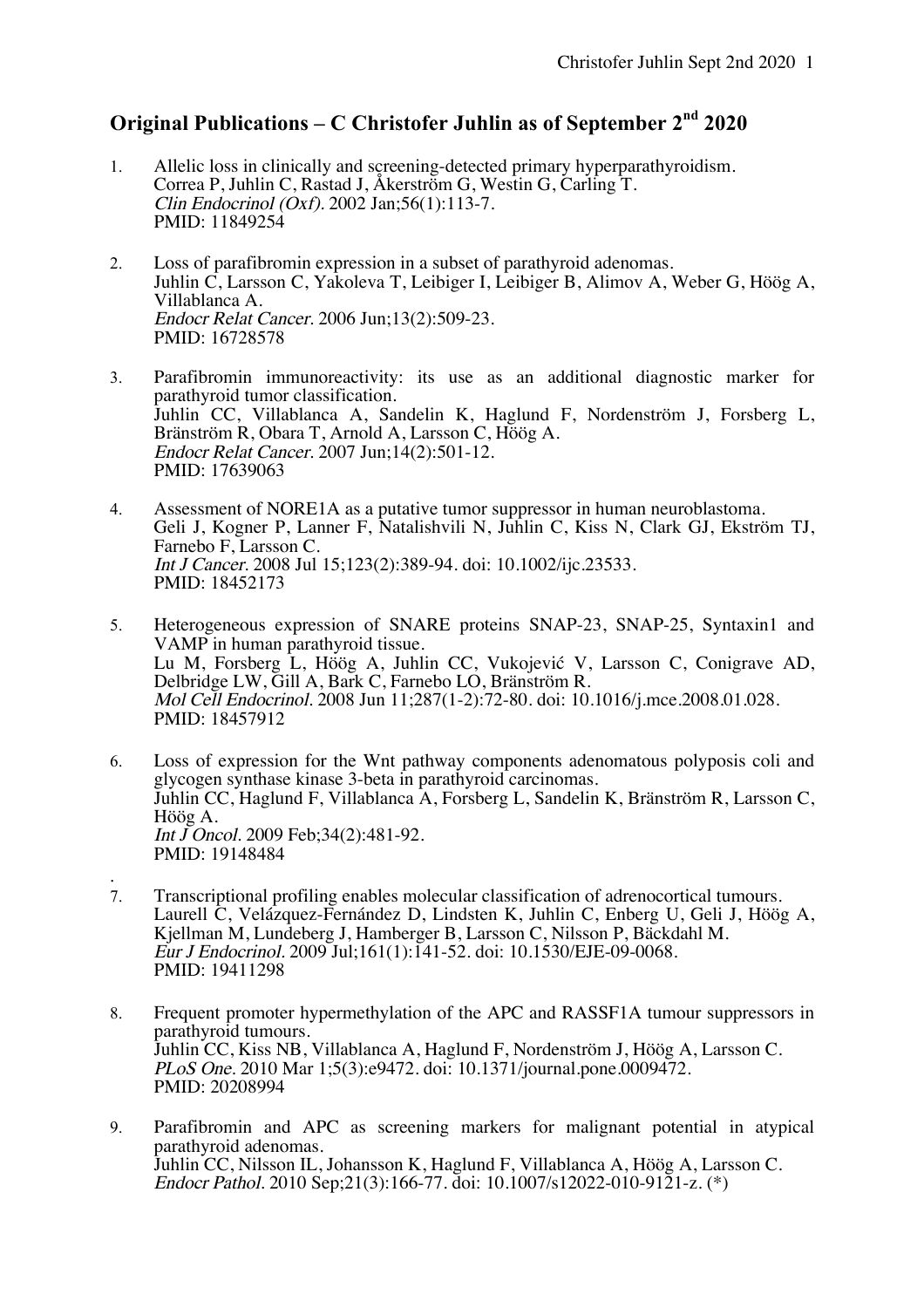## **Original Publications – C Christofer Juhlin as of September 2nd 2020**

- 1. Allelic loss in clinically and screening-detected primary hyperparathyroidism. Correa P, Juhlin C, Rastad J, Åkerström G, Westin G, Carling T. Clin Endocrinol (Oxf). 2002 Jan;56(1):113-7. PMID: 11849254
- 2. Loss of parafibromin expression in a subset of parathyroid adenomas. Juhlin C, Larsson C, Yakoleva T, Leibiger I, Leibiger B, Alimov A, Weber G, Höög A, Villablanca A. Endocr Relat Cancer. 2006 Jun;13(2):509-23. PMID: 16728578
- 3. Parafibromin immunoreactivity: its use as an additional diagnostic marker for parathyroid tumor classification. Juhlin CC, Villablanca A, Sandelin K, Haglund F, Nordenström J, Forsberg L, Bränström R, Obara T, Arnold A, Larsson C, Höög A. Endocr Relat Cancer. 2007 Jun;14(2):501-12. PMID: 17639063
- 4. Assessment of NORE1A as a putative tumor suppressor in human neuroblastoma. Geli J, Kogner P, Lanner F, Natalishvili N, Juhlin C, Kiss N, Clark GJ, Ekström TJ, Farnebo F, Larsson C. Int J Cancer. 2008 Jul 15;123(2):389-94. doi: 10.1002/ijc.23533. PMID: 18452173
- 5. Heterogeneous expression of SNARE proteins SNAP-23, SNAP-25, Syntaxin1 and VAMP in human parathyroid tissue. Lu M, Forsberg L, Höög A, Juhlin CC, Vukojević V, Larsson C, Conigrave AD, Delbridge LW, Gill A, Bark C, Farnebo LO, Bränström R. Mol Cell Endocrinol. 2008 Jun 11;287(1-2):72-80. doi: 10.1016/j.mce.2008.01.028. PMID: 18457912
- 6. Loss of expression for the Wnt pathway components adenomatous polyposis coli and glycogen synthase kinase 3-beta in parathyroid carcinomas. Juhlin CC, Haglund F, Villablanca A, Forsberg L, Sandelin K, Bränström R, Larsson C, Höög A. Int J Oncol. 2009 Feb: 34(2): 481-92. PMID: 19148484
- . 7. Transcriptional profiling enables molecular classification of adrenocortical tumours. Laurell C, Velázquez-Fernández D, Lindsten K, Juhlin C, Enberg U, Geli J, Höög A, Kjellman M, Lundeberg J, Hamberger B, Larsson C, Nilsson P, Bäckdahl M. Eur J Endocrinol. 2009 Jul;161(1):141-52. doi: 10.1530/EJE-09-0068. PMID: 19411298
- 8. Frequent promoter hypermethylation of the APC and RASSF1A tumour suppressors in parathyroid tumours. Juhlin CC, Kiss NB, Villablanca A, Haglund F, Nordenström J, Höög A, Larsson C. PLoS One. 2010 Mar 1;5(3):e9472. doi: 10.1371/journal.pone.0009472. PMID: 20208994
- 9. Parafibromin and APC as screening markers for malignant potential in atypical parathyroid adenomas. Juhlin CC, Nilsson IL, Johansson K, Haglund F, Villablanca A, Höög A, Larsson C. Endocr Pathol. 2010 Sep;21(3):166-77. doi: 10.1007/s12022-010-9121-z. (\*)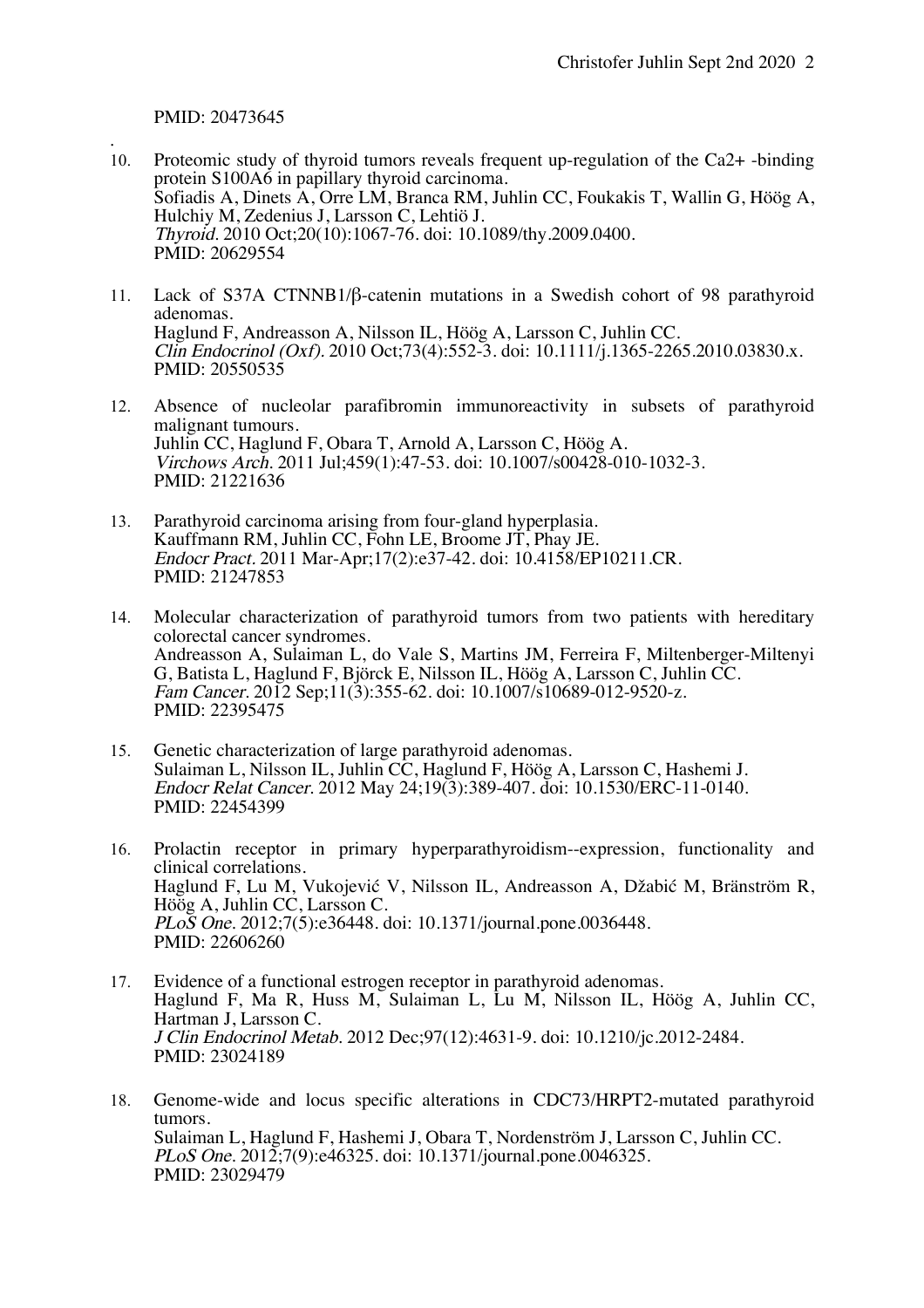## PMID: 20473645

- . 10. Proteomic study of thyroid tumors reveals frequent up-regulation of the Ca2+ -binding protein S100A6 in papillary thyroid carcinoma. Sofiadis A, Dinets A, Orre LM, Branca RM, Juhlin CC, Foukakis T, Wallin G, Höög A, Hulchiy M, Zedenius J, Larsson C, Lehtiö J. Thyroid. 2010 Oct;20(10):1067-76. doi: 10.1089/thy.2009.0400. PMID: 20629554
- 11. Lack of S37A CTNNB1/β-catenin mutations in a Swedish cohort of 98 parathyroid adenomas. Haglund F, Andreasson A, Nilsson IL, Höög A, Larsson C, Juhlin CC. Clin Endocrinol (Oxf). 2010 Oct;73(4):552-3. doi: 10.1111/j.1365-2265.2010.03830.x. PMID: 20550535
- 12. Absence of nucleolar parafibromin immunoreactivity in subsets of parathyroid malignant tumours. Juhlin CC, Haglund F, Obara T, Arnold A, Larsson C, Höög A. Virchows Arch. 2011 Jul;459(1):47-53. doi: 10.1007/s00428-010-1032-3. PMID: 21221636
- 13. Parathyroid carcinoma arising from four-gland hyperplasia. Kauffmann RM, Juhlin CC, Fohn LE, Broome JT, Phay JE. Endocr Pract. 2011 Mar-Apr;17(2):e37-42. doi: 10.4158/EP10211.CR. PMID: 21247853
- 14. Molecular characterization of parathyroid tumors from two patients with hereditary colorectal cancer syndromes. Andreasson A, Sulaiman L, do Vale S, Martins JM, Ferreira F, Miltenberger-Miltenyi G, Batista L, Haglund F, Björck E, Nilsson IL, Höög A, Larsson C, Juhlin CC. Fam Cancer. 2012 Sep;11(3):355-62. doi: 10.1007/s10689-012-9520-z. PMID: 22395475
- 15. Genetic characterization of large parathyroid adenomas. Sulaiman L, Nilsson IL, Juhlin CC, Haglund F, Höög A, Larsson C, Hashemi J. Endocr Relat Cancer. 2012 May 24;19(3):389-407. doi: 10.1530/ERC-11-0140. PMID: 22454399
- 16. Prolactin receptor in primary hyperparathyroidism--expression, functionality and clinical correlations. Haglund F, Lu M, Vukojević V, Nilsson IL, Andreasson A, Džabić M, Bränström R, Höög A, Juhlin CC, Larsson C. PLoS One. 2012;7(5):e36448. doi: 10.1371/journal.pone.0036448. PMID: 22606260
- 17. Evidence of a functional estrogen receptor in parathyroid adenomas. Haglund F, Ma R, Huss M, Sulaiman L, Lu M, Nilsson IL, Höög A, Juhlin CC, Hartman J, Larsson C. J Clin Endocrinol Metab. 2012 Dec;97(12):4631-9. doi: 10.1210/jc.2012-2484. PMID: 23024189
- 18. Genome-wide and locus specific alterations in CDC73/HRPT2-mutated parathyroid tumors. Sulaiman L, Haglund F, Hashemi J, Obara T, Nordenström J, Larsson C, Juhlin CC. PLoS One. 2012;7(9):e46325. doi: 10.1371/journal.pone.0046325. PMID: 23029479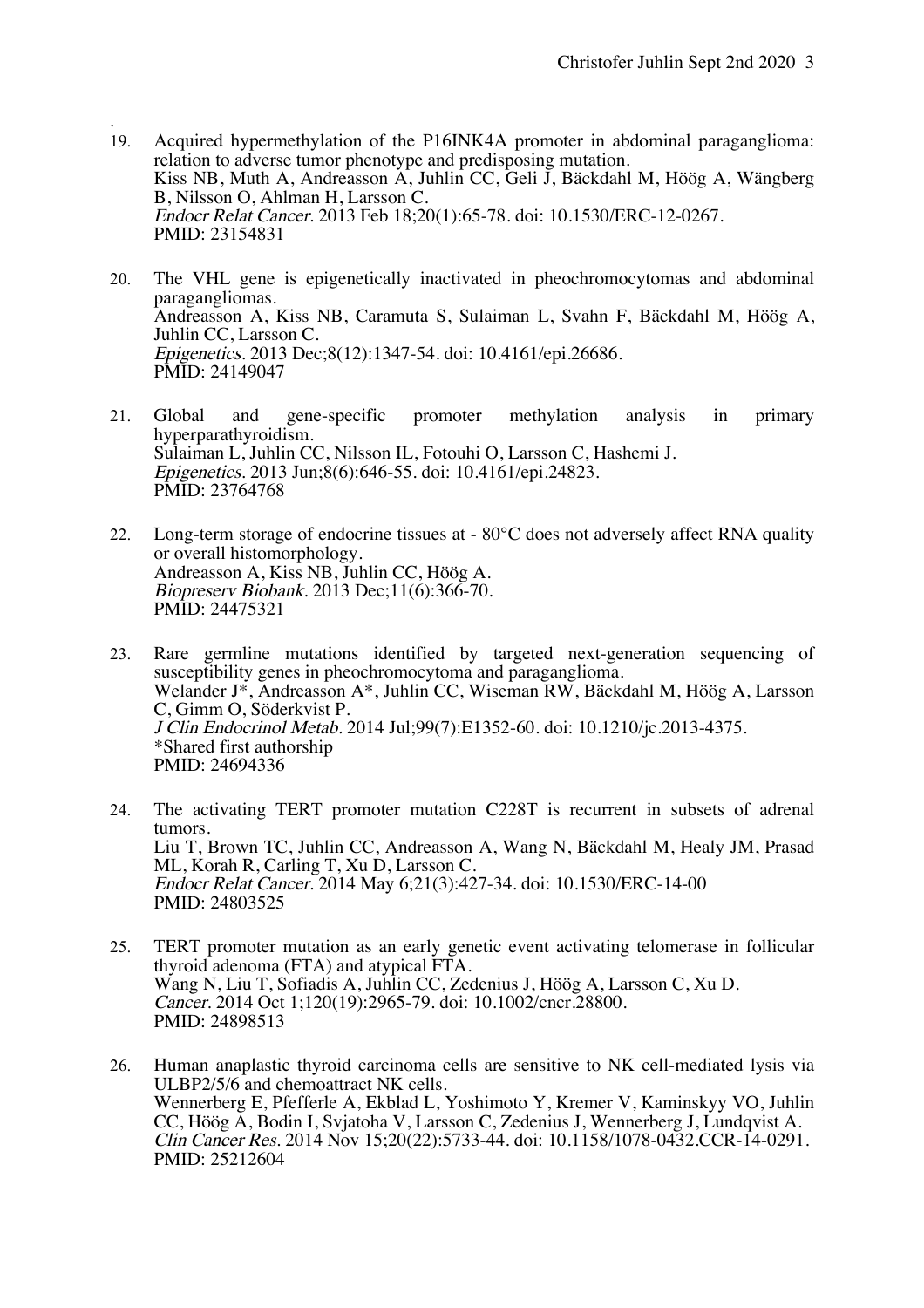- . 19. Acquired hypermethylation of the P16INK4A promoter in abdominal paraganglioma: relation to adverse tumor phenotype and predisposing mutation. Kiss NB, Muth A, Andreasson A, Juhlin CC, Geli J, Bäckdahl M, Höög A, Wängberg B, Nilsson O, Ahlman H, Larsson C. Endocr Relat Cancer. 2013 Feb 18;20(1):65-78. doi: 10.1530/ERC-12-0267. PMID: 23154831
- 20. The VHL gene is epigenetically inactivated in pheochromocytomas and abdominal paragangliomas. Andreasson A, Kiss NB, Caramuta S, Sulaiman L, Svahn F, Bäckdahl M, Höög A, Juhlin CC, Larsson C. Epigenetics. 2013 Dec;8(12):1347-54. doi: 10.4161/epi.26686. PMID: 24149047
- 21. Global and gene-specific promoter methylation analysis in primary hyperparathyroidism. Sulaiman L, Juhlin CC, Nilsson IL, Fotouhi O, Larsson C, Hashemi J. Epigenetics. 2013 Jun;8(6):646-55. doi: 10.4161/epi.24823. PMID: 23764768
- 22. Long-term storage of endocrine tissues at 80°C does not adversely affect RNA quality or overall histomorphology. Andreasson A, Kiss NB, Juhlin CC, Höög A. Biopreserv Biobank. 2013 Dec;11(6):366-70. PMID: 24475321
- 23. Rare germline mutations identified by targeted next-generation sequencing of susceptibility genes in pheochromocytoma and paraganglioma. Welander J\*, Andreasson A\*, Juhlin CC, Wiseman RW, Bäckdahl M, Höög A, Larsson C, Gimm O, Söderkvist P. J Clin Endocrinol Metab. 2014 Jul;99(7):E1352-60. doi: 10.1210/jc.2013-4375. \*Shared first authorship PMID: 24694336
- 24. The activating TERT promoter mutation C228T is recurrent in subsets of adrenal tumors. Liu T, Brown TC, Juhlin CC, Andreasson A, Wang N, Bäckdahl M, Healy JM, Prasad ML, Korah R, Carling T, Xu D, Larsson C. Endocr Relat Cancer. 2014 May 6;21(3):427-34. doi: 10.1530/ERC-14-00 PMID: 24803525
- 25. TERT promoter mutation as an early genetic event activating telomerase in follicular thyroid adenoma (FTA) and atypical FTA. Wang N, Liu T, Sofiadis A, Juhlin CC, Zedenius J, Höög A, Larsson C, Xu D. Cancer. 2014 Oct 1;120(19):2965-79. doi: 10.1002/cncr.28800. PMID: 24898513
- 26. Human anaplastic thyroid carcinoma cells are sensitive to NK cell-mediated lysis via ULBP2/5/6 and chemoattract NK cells. Wennerberg E, Pfefferle A, Ekblad L, Yoshimoto Y, Kremer V, Kaminskyy VO, Juhlin CC, Höög A, Bodin I, Svjatoha V, Larsson C, Zedenius J, Wennerberg J, Lundqvist A. Clin Cancer Res. 2014 Nov 15;20(22):5733-44. doi: 10.1158/1078-0432.CCR-14-0291. PMID: 25212604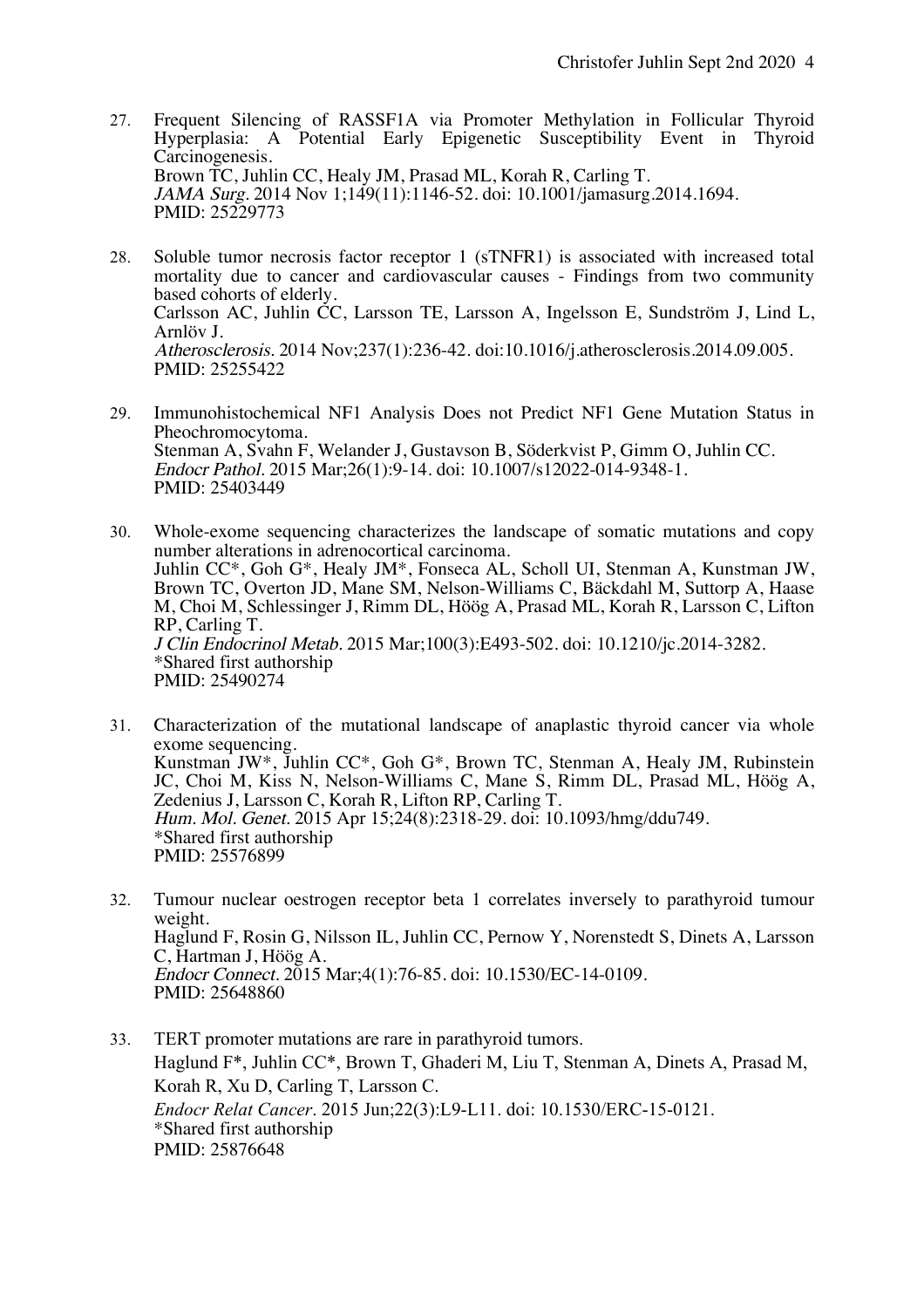- 27. Frequent Silencing of RASSF1A via Promoter Methylation in Follicular Thyroid Hyperplasia: A Potential Early Epigenetic Susceptibility Event in Thyroid Carcinogenesis. Brown TC, Juhlin CC, Healy JM, Prasad ML, Korah R, Carling T. JAMA Surg. 2014 Nov 1;149(11):1146-52. doi: 10.1001/jamasurg.2014.1694. PMID: 25229773
- 28. Soluble tumor necrosis factor receptor 1 (sTNFR1) is associated with increased total mortality due to cancer and cardiovascular causes - Findings from two community based cohorts of elderly. Carlsson AC, Juhlin CC, Larsson TE, Larsson A, Ingelsson E, Sundström J, Lind L, Arnlöv J. Atherosclerosis. 2014 Nov;237(1):236-42. doi:10.1016/j.atherosclerosis.2014.09.005. PMID: 25255422
- 29. Immunohistochemical NF1 Analysis Does not Predict NF1 Gene Mutation Status in Pheochromocytoma. Stenman A, Svahn F, Welander J, Gustavson B, Söderkvist P, Gimm O, Juhlin CC. Endocr Pathol. 2015 Mar;26(1):9-14. doi: 10.1007/s12022-014-9348-1. PMID: 25403449
- 30. Whole-exome sequencing characterizes the landscape of somatic mutations and copy number alterations in adrenocortical carcinoma. Juhlin CC\*, Goh G\*, Healy JM\*, Fonseca AL, Scholl UI, Stenman A, Kunstman JW, Brown TC, Overton JD, Mane SM, Nelson-Williams C, Bäckdahl M, Suttorp A, Haase M, Choi M, Schlessinger J, Rimm DL, Höög A, Prasad ML, Korah R, Larsson C, Lifton RP, Carling T. J Clin Endocrinol Metab. 2015 Mar;100(3):E493-502. doi: 10.1210/jc.2014-3282. \*Shared first authorship PMID: 25490274
- 31. Characterization of the mutational landscape of anaplastic thyroid cancer via whole exome sequencing. Kunstman JW\*, Juhlin CC\*, Goh G\*, Brown TC, Stenman A, Healy JM, Rubinstein JC, Choi M, Kiss N, Nelson-Williams C, Mane S, Rimm DL, Prasad ML, Höög A, Zedenius J, Larsson C, Korah R, Lifton RP, Carling T. Hum. Mol. Genet. 2015 Apr 15;24(8):2318-29. doi: 10.1093/hmg/ddu749. \*Shared first authorship PMID: 25576899
- 32. Tumour nuclear oestrogen receptor beta 1 correlates inversely to parathyroid tumour weight. Haglund F, Rosin G, Nilsson IL, Juhlin CC, Pernow Y, Norenstedt S, Dinets A, Larsson C, Hartman J, Höög A. Endocr Connect. 2015 Mar;4(1):76-85. doi: 10.1530/EC-14-0109. PMID: 25648860
- 33. TERT promoter mutations are rare in parathyroid tumors. Haglund F\*, Juhlin CC\*, Brown T, Ghaderi M, Liu T, Stenman A, Dinets A, Prasad M, Korah R, Xu D, Carling T, Larsson C. *Endocr Relat Cancer*. 2015 Jun;22(3):L9-L11. doi: 10.1530/ERC-15-0121. \*Shared first authorship PMID: 25876648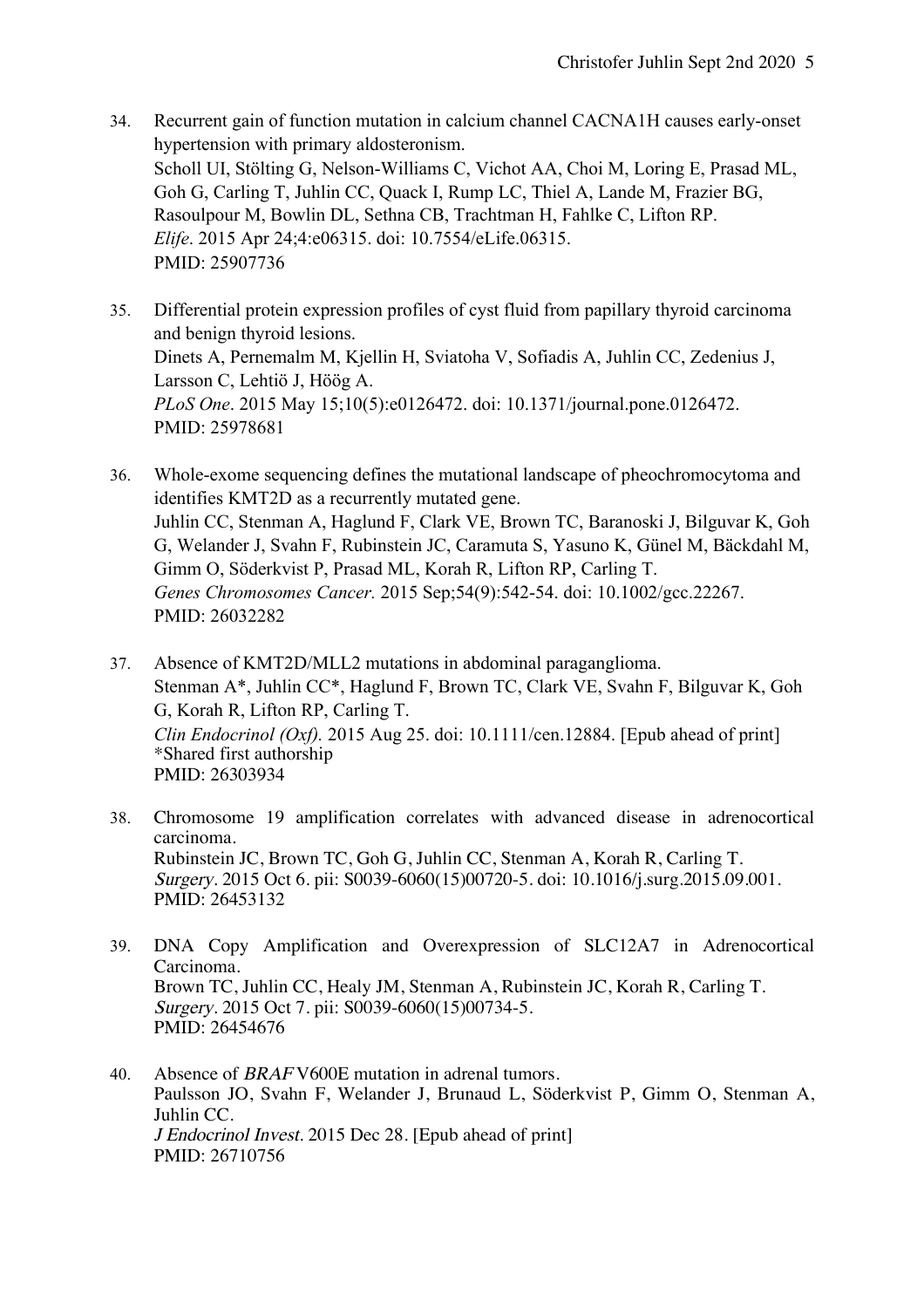- 34. Recurrent gain of function mutation in calcium channel CACNA1H causes early-onset hypertension with primary aldosteronism. Scholl UI, Stölting G, Nelson-Williams C, Vichot AA, Choi M, Loring E, Prasad ML, Goh G, Carling T, Juhlin CC, Quack I, Rump LC, Thiel A, Lande M, Frazier BG, Rasoulpour M, Bowlin DL, Sethna CB, Trachtman H, Fahlke C, Lifton RP. *Elife*. 2015 Apr 24;4:e06315. doi: 10.7554/eLife.06315. PMID: 25907736
- 35. Differential protein expression profiles of cyst fluid from papillary thyroid carcinoma and benign thyroid lesions. Dinets A, Pernemalm M, Kjellin H, Sviatoha V, Sofiadis A, Juhlin CC, Zedenius J, Larsson C, Lehtiö J, Höög A. *PLoS One*. 2015 May 15;10(5):e0126472. doi: 10.1371/journal.pone.0126472. PMID: 25978681
- 36. Whole-exome sequencing defines the mutational landscape of pheochromocytoma and identifies KMT2D as a recurrently mutated gene. Juhlin CC, Stenman A, Haglund F, Clark VE, Brown TC, Baranoski J, Bilguvar K, Goh G, Welander J, Svahn F, Rubinstein JC, Caramuta S, Yasuno K, Günel M, Bäckdahl M, Gimm O, Söderkvist P, Prasad ML, Korah R, Lifton RP, Carling T. *Genes Chromosomes Cancer.* 2015 Sep;54(9):542-54. doi: 10.1002/gcc.22267. PMID: 26032282
- 37. Absence of KMT2D/MLL2 mutations in abdominal paraganglioma. Stenman A\*, Juhlin CC\*, Haglund F, Brown TC, Clark VE, Svahn F, Bilguvar K, Goh G, Korah R, Lifton RP, Carling T. *Clin Endocrinol (Oxf).* 2015 Aug 25. doi: 10.1111/cen.12884. [Epub ahead of print] \*Shared first authorship PMID: 26303934
- 38. Chromosome 19 amplification correlates with advanced disease in adrenocortical carcinoma. Rubinstein JC, Brown TC, Goh G, Juhlin CC, Stenman A, Korah R, Carling T. Surgery. 2015 Oct 6. pii: S0039-6060(15)00720-5. doi: 10.1016/j.surg.2015.09.001. PMID: 26453132
- 39. DNA Copy Amplification and Overexpression of SLC12A7 in Adrenocortical Carcinoma. Brown TC, Juhlin CC, Healy JM, Stenman A, Rubinstein JC, Korah R, Carling T. Surgery. 2015 Oct 7. pii: S0039-6060(15)00734-5. PMID: 26454676
- 40. Absence of BRAF V600E mutation in adrenal tumors. Paulsson JO, Svahn F, Welander J, Brunaud L, Söderkvist P, Gimm O, Stenman A, Juhlin CC. J Endocrinol Invest. 2015 Dec 28. [Epub ahead of print] PMID: 26710756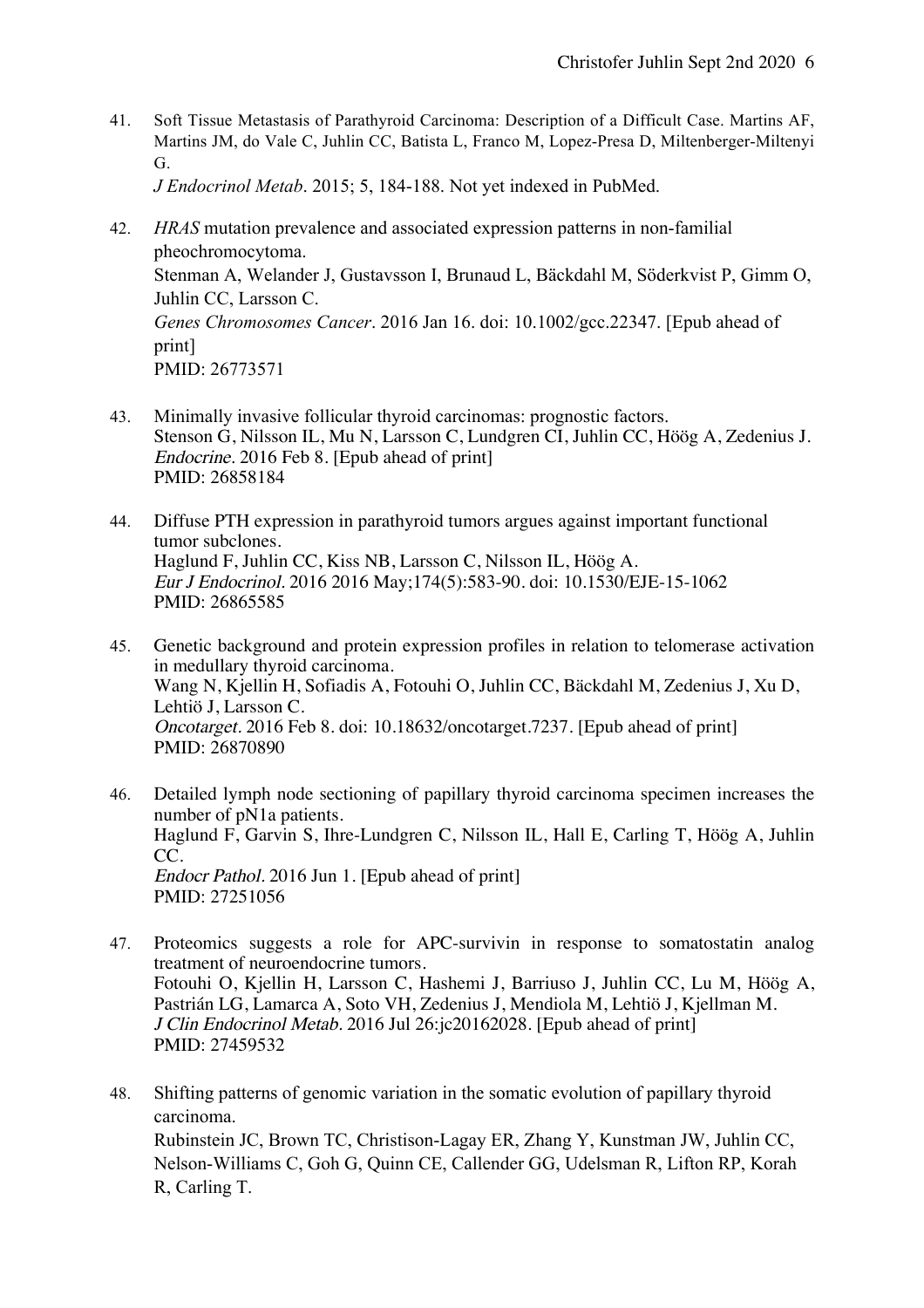41. Soft Tissue Metastasis of Parathyroid Carcinoma: Description of a Difficult Case. Martins AF, Martins JM, do Vale C, Juhlin CC, Batista L, Franco M, Lopez-Presa D, Miltenberger-Miltenyi G.

*J Endocrinol Metab*. 2015; 5, 184-188. Not yet indexed in PubMed.

- 42. *HRAS* mutation prevalence and associated expression patterns in non-familial pheochromocytoma. Stenman A, Welander J, Gustavsson I, Brunaud L, Bäckdahl M, Söderkvist P, Gimm O, Juhlin CC, Larsson C. *Genes Chromosomes Cancer*. 2016 Jan 16. doi: 10.1002/gcc.22347. [Epub ahead of print] PMID: 26773571
- 43. Minimally invasive follicular thyroid carcinomas: prognostic factors. Stenson G, Nilsson IL, Mu N, Larsson C, Lundgren CI, Juhlin CC, Höög A, Zedenius J. Endocrine. 2016 Feb 8. [Epub ahead of print] PMID: 26858184
- 44. Diffuse PTH expression in parathyroid tumors argues against important functional tumor subclones. Haglund F, Juhlin CC, Kiss NB, Larsson C, Nilsson IL, Höög A. Eur J Endocrinol. 2016 2016 May;174(5):583-90. doi: 10.1530/EJE-15-1062 PMID: 26865585
- 45. Genetic background and protein expression profiles in relation to telomerase activation in medullary thyroid carcinoma. Wang N, Kjellin H, Sofiadis A, Fotouhi O, Juhlin CC, Bäckdahl M, Zedenius J, Xu D, Lehtiö J, Larsson C. Oncotarget. 2016 Feb 8. doi: 10.18632/oncotarget.7237. [Epub ahead of print] PMID: 26870890
- 46. Detailed lymph node sectioning of papillary thyroid carcinoma specimen increases the number of pN1a patients. Haglund F, Garvin S, Ihre-Lundgren C, Nilsson IL, Hall E, Carling T, Höög A, Juhlin CC. Endocr Pathol. 2016 Jun 1. [Epub ahead of print] PMID: 27251056
- 47. Proteomics suggests a role for APC-survivin in response to somatostatin analog treatment of neuroendocrine tumors. Fotouhi O, Kjellin H, Larsson C, Hashemi J, Barriuso J, Juhlin CC, Lu M, Höög A, Pastrián LG, Lamarca A, Soto VH, Zedenius J, Mendiola M, Lehtiö J, Kjellman M. J Clin Endocrinol Metab. 2016 Jul 26:jc20162028. [Epub ahead of print] PMID: 27459532
- 48. Shifting patterns of genomic variation in the somatic evolution of papillary thyroid carcinoma. Rubinstein JC, Brown TC, Christison-Lagay ER, Zhang Y, Kunstman JW, Juhlin CC, Nelson-Williams C, Goh G, Quinn CE, Callender GG, Udelsman R, Lifton RP, Korah R, Carling T.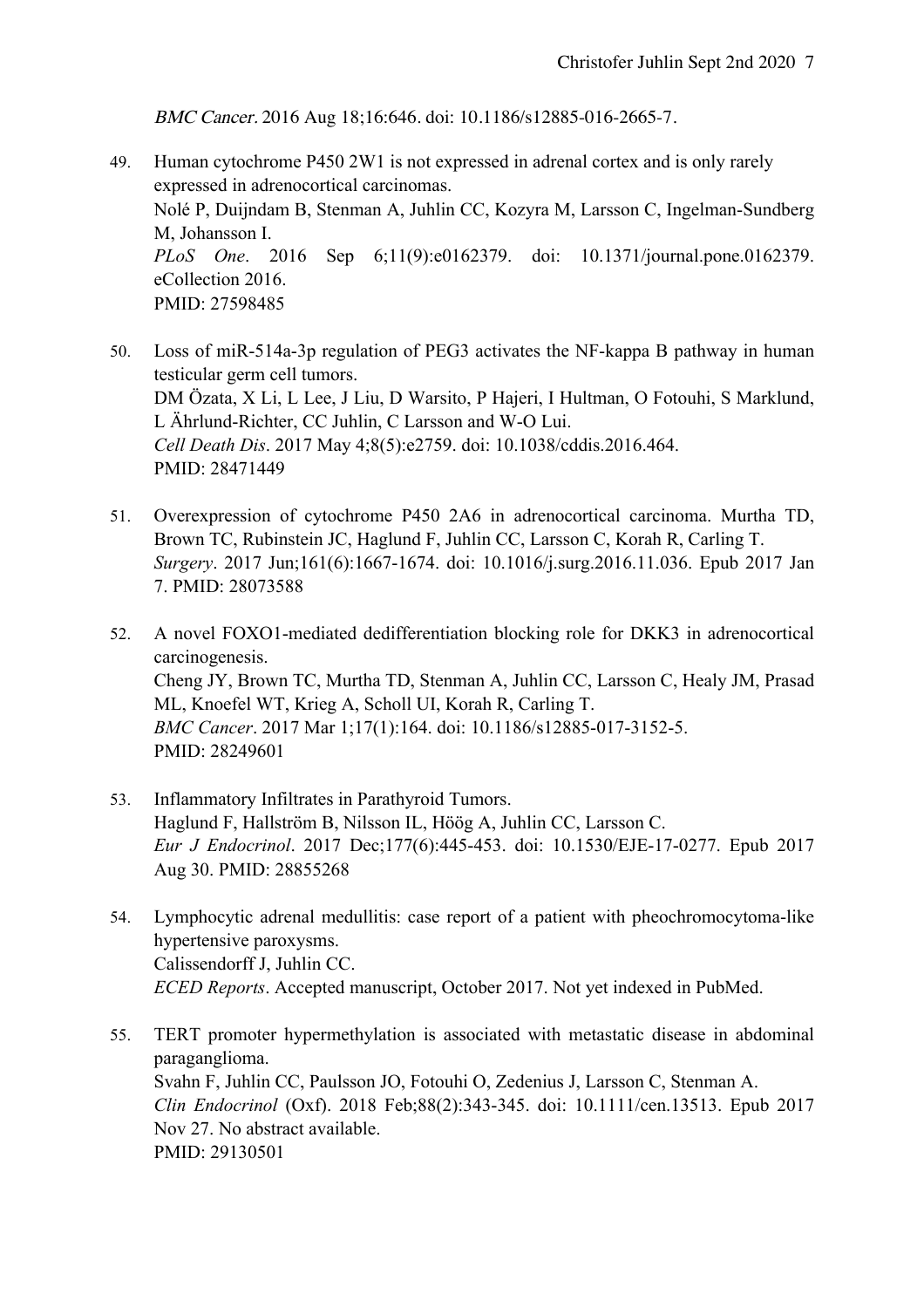BMC Cancer. 2016 Aug 18;16:646. doi: 10.1186/s12885-016-2665-7.

- 49. Human cytochrome P450 2W1 is not expressed in adrenal cortex and is only rarely expressed in adrenocortical carcinomas. Nolé P, Duijndam B, Stenman A, Juhlin CC, Kozyra M, Larsson C, Ingelman-Sundberg M, Johansson I. *PLoS One*. 2016 Sep 6;11(9):e0162379. doi: 10.1371/journal.pone.0162379. eCollection 2016. PMID: 27598485
- 50. Loss of miR-514a-3p regulation of PEG3 activates the NF-kappa B pathway in human testicular germ cell tumors. DM Özata, X Li, L Lee, J Liu, D Warsito, P Hajeri, I Hultman, O Fotouhi, S Marklund, L Ährlund-Richter, CC Juhlin, C Larsson and W-O Lui. *Cell Death Dis*. 2017 May 4;8(5):e2759. doi: 10.1038/cddis.2016.464. PMID: 28471449
- 51. Overexpression of cytochrome P450 2A6 in adrenocortical carcinoma. Murtha TD, Brown TC, Rubinstein JC, Haglund F, Juhlin CC, Larsson C, Korah R, Carling T. *Surgery*. 2017 Jun;161(6):1667-1674. doi: 10.1016/j.surg.2016.11.036. Epub 2017 Jan 7. PMID: 28073588
- 52. A novel FOXO1-mediated dedifferentiation blocking role for DKK3 in adrenocortical carcinogenesis. Cheng JY, Brown TC, Murtha TD, Stenman A, Juhlin CC, Larsson C, Healy JM, Prasad ML, Knoefel WT, Krieg A, Scholl UI, Korah R, Carling T. *BMC Cancer*. 2017 Mar 1;17(1):164. doi: 10.1186/s12885-017-3152-5. PMID: 28249601
- 53. Inflammatory Infiltrates in Parathyroid Tumors. Haglund F, Hallström B, Nilsson IL, Höög A, Juhlin CC, Larsson C. *Eur J Endocrinol*. 2017 Dec;177(6):445-453. doi: 10.1530/EJE-17-0277. Epub 2017 Aug 30. PMID: 28855268
- 54. Lymphocytic adrenal medullitis: case report of a patient with pheochromocytoma-like hypertensive paroxysms. Calissendorff J, Juhlin CC. *ECED Reports*. Accepted manuscript, October 2017. Not yet indexed in PubMed.
- 55. TERT promoter hypermethylation is associated with metastatic disease in abdominal paraganglioma. Svahn F, Juhlin CC, Paulsson JO, Fotouhi O, Zedenius J, Larsson C, Stenman A. *Clin Endocrinol* (Oxf). 2018 Feb;88(2):343-345. doi: 10.1111/cen.13513. Epub 2017 Nov 27. No abstract available. PMID: 29130501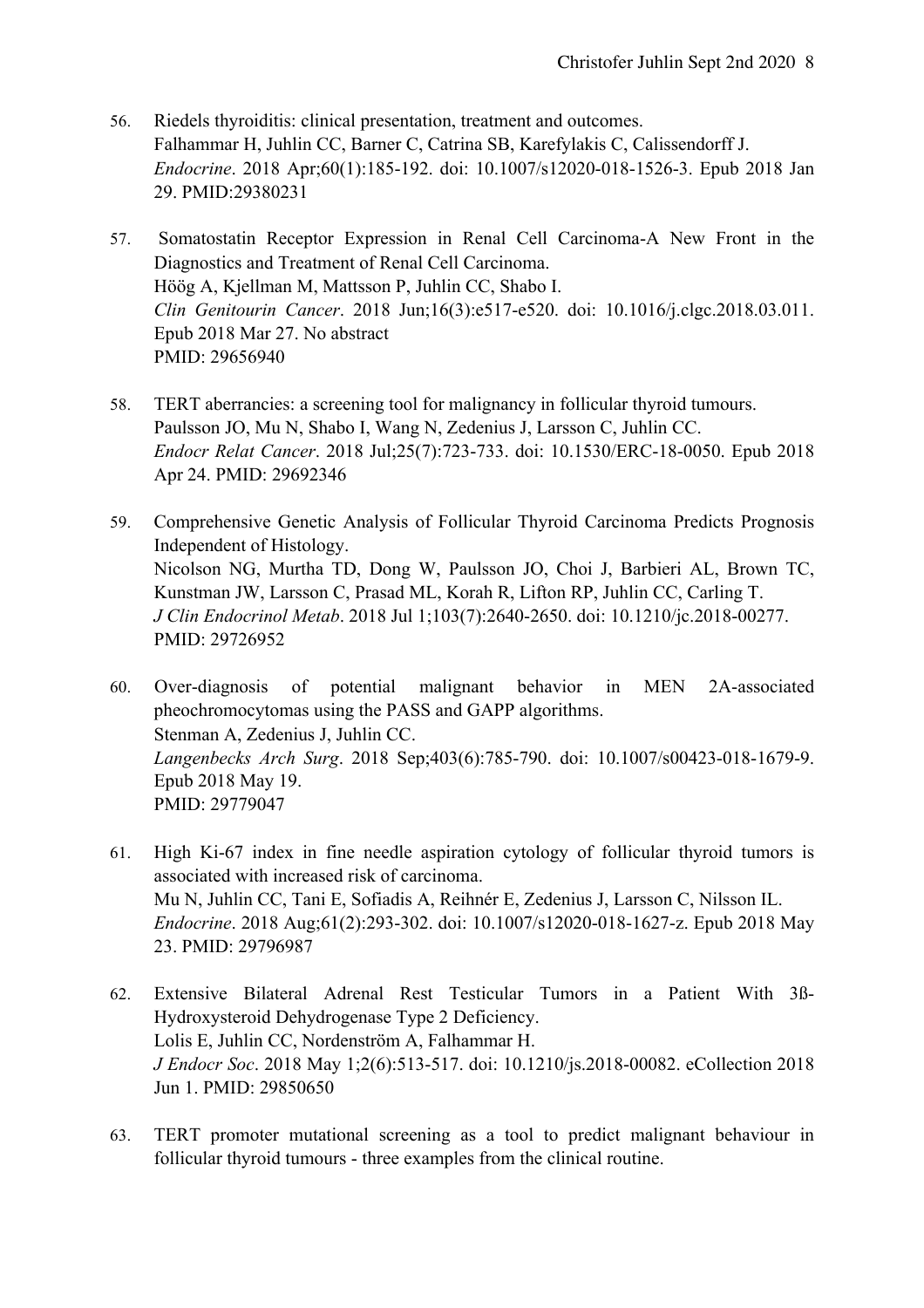- 56. Riedels thyroiditis: clinical presentation, treatment and outcomes. Falhammar H, Juhlin CC, Barner C, Catrina SB, Karefylakis C, Calissendorff J. *Endocrine*. 2018 Apr;60(1):185-192. doi: 10.1007/s12020-018-1526-3. Epub 2018 Jan 29. PMID:29380231
- 57. Somatostatin Receptor Expression in Renal Cell Carcinoma-A New Front in the Diagnostics and Treatment of Renal Cell Carcinoma. Höög A, Kjellman M, Mattsson P, Juhlin CC, Shabo I. *Clin Genitourin Cancer*. 2018 Jun;16(3):e517-e520. doi: 10.1016/j.clgc.2018.03.011. Epub 2018 Mar 27. No abstract PMID: 29656940
- 58. TERT aberrancies: a screening tool for malignancy in follicular thyroid tumours. Paulsson JO, Mu N, Shabo I, Wang N, Zedenius J, Larsson C, Juhlin CC. *Endocr Relat Cancer*. 2018 Jul;25(7):723-733. doi: 10.1530/ERC-18-0050. Epub 2018 Apr 24. PMID: 29692346
- 59. Comprehensive Genetic Analysis of Follicular Thyroid Carcinoma Predicts Prognosis Independent of Histology. Nicolson NG, Murtha TD, Dong W, Paulsson JO, Choi J, Barbieri AL, Brown TC, Kunstman JW, Larsson C, Prasad ML, Korah R, Lifton RP, Juhlin CC, Carling T. *J Clin Endocrinol Metab*. 2018 Jul 1;103(7):2640-2650. doi: 10.1210/jc.2018-00277. PMID: 29726952
- 60. Over-diagnosis of potential malignant behavior in MEN 2A-associated pheochromocytomas using the PASS and GAPP algorithms. Stenman A, Zedenius J, Juhlin CC. *Langenbecks Arch Surg*. 2018 Sep;403(6):785-790. doi: 10.1007/s00423-018-1679-9. Epub 2018 May 19. PMID: 29779047
- 61. High Ki-67 index in fine needle aspiration cytology of follicular thyroid tumors is associated with increased risk of carcinoma. Mu N, Juhlin CC, Tani E, Sofiadis A, Reihnér E, Zedenius J, Larsson C, Nilsson IL. *Endocrine*. 2018 Aug;61(2):293-302. doi: 10.1007/s12020-018-1627-z. Epub 2018 May 23. PMID: 29796987
- 62. Extensive Bilateral Adrenal Rest Testicular Tumors in a Patient With 3ß-Hydroxysteroid Dehydrogenase Type 2 Deficiency. Lolis E, Juhlin CC, Nordenström A, Falhammar H. *J Endocr Soc*. 2018 May 1;2(6):513-517. doi: 10.1210/js.2018-00082. eCollection 2018 Jun 1. PMID: 29850650
- 63. TERT promoter mutational screening as a tool to predict malignant behaviour in follicular thyroid tumours - three examples from the clinical routine.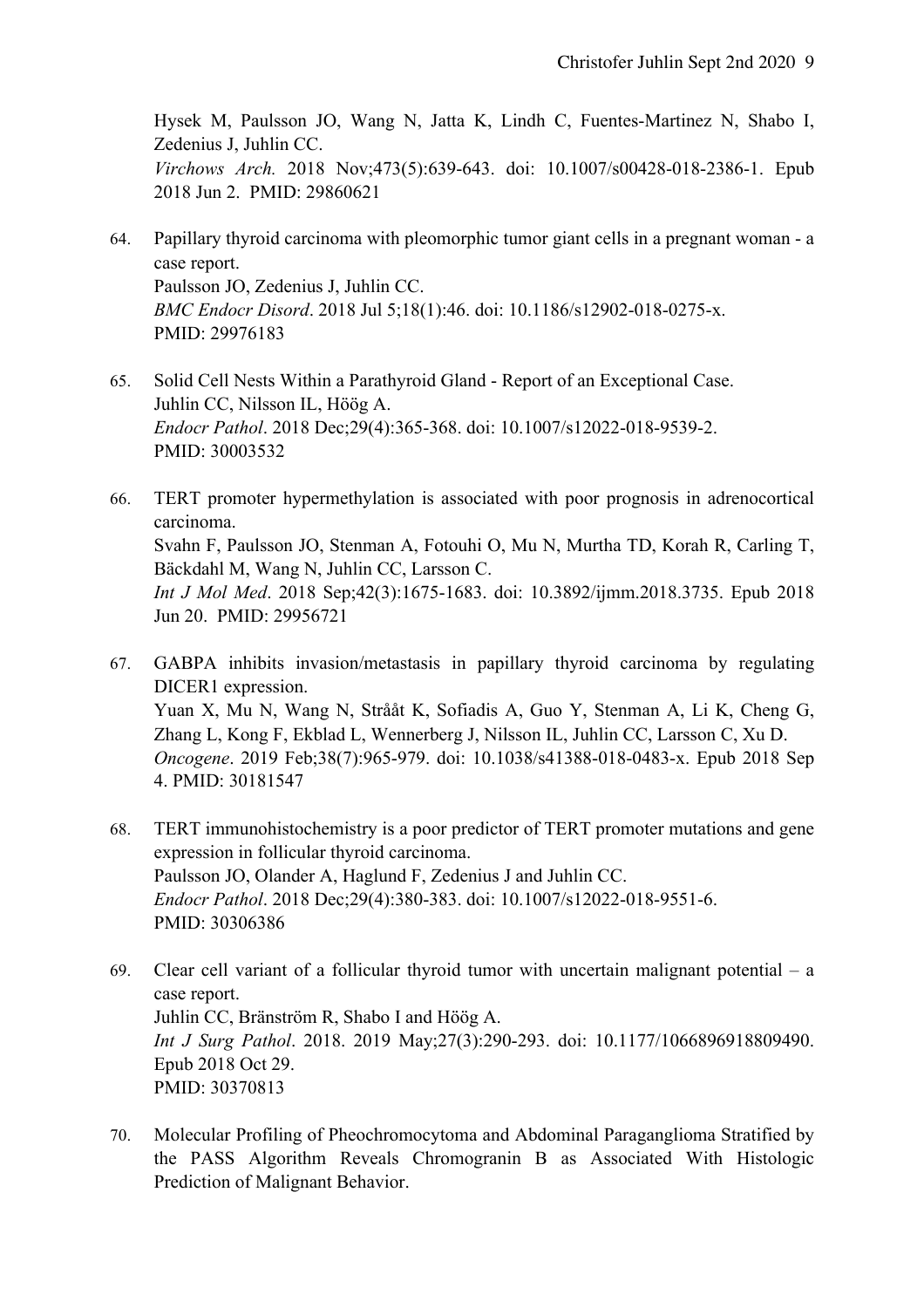Hysek M, Paulsson JO, Wang N, Jatta K, Lindh C, Fuentes-Martinez N, Shabo I, Zedenius J, Juhlin CC. *Virchows Arch.* 2018 Nov;473(5):639-643. doi: 10.1007/s00428-018-2386-1. Epub 2018 Jun 2. PMID: 29860621

- 64. Papillary thyroid carcinoma with pleomorphic tumor giant cells in a pregnant woman a case report. Paulsson JO, Zedenius J, Juhlin CC. *BMC Endocr Disord*. 2018 Jul 5;18(1):46. doi: 10.1186/s12902-018-0275-x. PMID: 29976183
- 65. Solid Cell Nests Within a Parathyroid Gland Report of an Exceptional Case. Juhlin CC, Nilsson IL, Höög A. *Endocr Pathol*. 2018 Dec;29(4):365-368. doi: 10.1007/s12022-018-9539-2. PMID: 30003532
- 66. TERT promoter hypermethylation is associated with poor prognosis in adrenocortical carcinoma. Svahn F, Paulsson JO, Stenman A, Fotouhi O, Mu N, Murtha TD, Korah R, Carling T, Bäckdahl M, Wang N, Juhlin CC, Larsson C. *Int J Mol Med*. 2018 Sep;42(3):1675-1683. doi: 10.3892/ijmm.2018.3735. Epub 2018 Jun 20. PMID: 29956721
- 67. GABPA inhibits invasion/metastasis in papillary thyroid carcinoma by regulating DICER1 expression. Yuan X, Mu N, Wang N, Strååt K, Sofiadis A, Guo Y, Stenman A, Li K, Cheng G, Zhang L, Kong F, Ekblad L, Wennerberg J, Nilsson IL, Juhlin CC, Larsson C, Xu D. *Oncogene*. 2019 Feb;38(7):965-979. doi: 10.1038/s41388-018-0483-x. Epub 2018 Sep 4. PMID: 30181547
- 68. TERT immunohistochemistry is a poor predictor of TERT promoter mutations and gene expression in follicular thyroid carcinoma. Paulsson JO, Olander A, Haglund F, Zedenius J and Juhlin CC. *Endocr Pathol*. 2018 Dec;29(4):380-383. doi: 10.1007/s12022-018-9551-6. PMID: 30306386
- 69. Clear cell variant of a follicular thyroid tumor with uncertain malignant potential a case report. Juhlin CC, Bränström R, Shabo I and Höög A. *Int J Surg Pathol*. 2018. 2019 May;27(3):290-293. doi: 10.1177/1066896918809490. Epub 2018 Oct 29. PMID: 30370813
- 70. Molecular Profiling of Pheochromocytoma and Abdominal Paraganglioma Stratified by the PASS Algorithm Reveals Chromogranin B as Associated With Histologic Prediction of Malignant Behavior.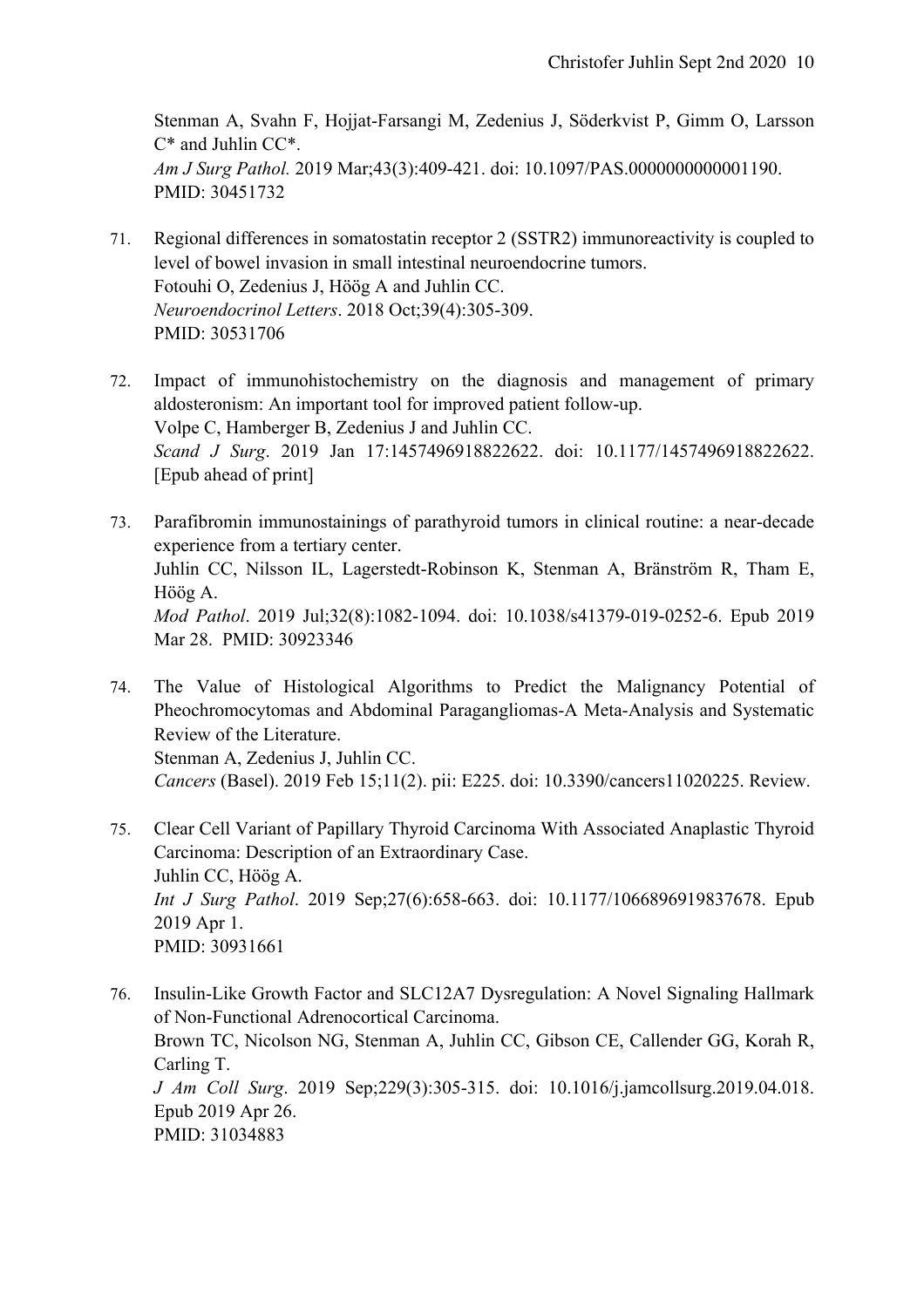Stenman A, Svahn F, Hojjat-Farsangi M, Zedenius J, Söderkvist P, Gimm O, Larsson C\* and Juhlin CC\*. *Am J Surg Pathol.* 2019 Mar;43(3):409-421. doi: 10.1097/PAS.0000000000001190. PMID: 30451732

- 71. Regional differences in somatostatin receptor 2 (SSTR2) immunoreactivity is coupled to level of bowel invasion in small intestinal neuroendocrine tumors. Fotouhi O, Zedenius J, Höög A and Juhlin CC. *Neuroendocrinol Letters*. 2018 Oct;39(4):305-309. PMID: 30531706
- 72. Impact of immunohistochemistry on the diagnosis and management of primary aldosteronism: An important tool for improved patient follow-up. Volpe C, Hamberger B, Zedenius J and Juhlin CC. *Scand J Surg*. 2019 Jan 17:1457496918822622. doi: 10.1177/1457496918822622. [Epub ahead of print]
- 73. Parafibromin immunostainings of parathyroid tumors in clinical routine: a near-decade experience from a tertiary center. Juhlin CC, Nilsson IL, Lagerstedt-Robinson K, Stenman A, Bränström R, Tham E, Höög A. *Mod Pathol*. 2019 Jul;32(8):1082-1094. doi: 10.1038/s41379-019-0252-6. Epub 2019 Mar 28. PMID: 30923346
- 74. The Value of Histological Algorithms to Predict the Malignancy Potential of Pheochromocytomas and Abdominal Paragangliomas-A Meta-Analysis and Systematic Review of the Literature. Stenman A, Zedenius J, Juhlin CC. *Cancers* (Basel). 2019 Feb 15;11(2). pii: E225. doi: 10.3390/cancers11020225. Review.
- 75. Clear Cell Variant of Papillary Thyroid Carcinoma With Associated Anaplastic Thyroid Carcinoma: Description of an Extraordinary Case. Juhlin CC, Höög A. *Int J Surg Pathol*. 2019 Sep;27(6):658-663. doi: 10.1177/1066896919837678. Epub 2019 Apr 1. PMID: 30931661
- 76. Insulin-Like Growth Factor and SLC12A7 Dysregulation: A Novel Signaling Hallmark of Non-Functional Adrenocortical Carcinoma. Brown TC, Nicolson NG, Stenman A, Juhlin CC, Gibson CE, Callender GG, Korah R, Carling T. *J Am Coll Surg*. 2019 Sep;229(3):305-315. doi: 10.1016/j.jamcollsurg.2019.04.018. Epub 2019 Apr 26. PMID: 31034883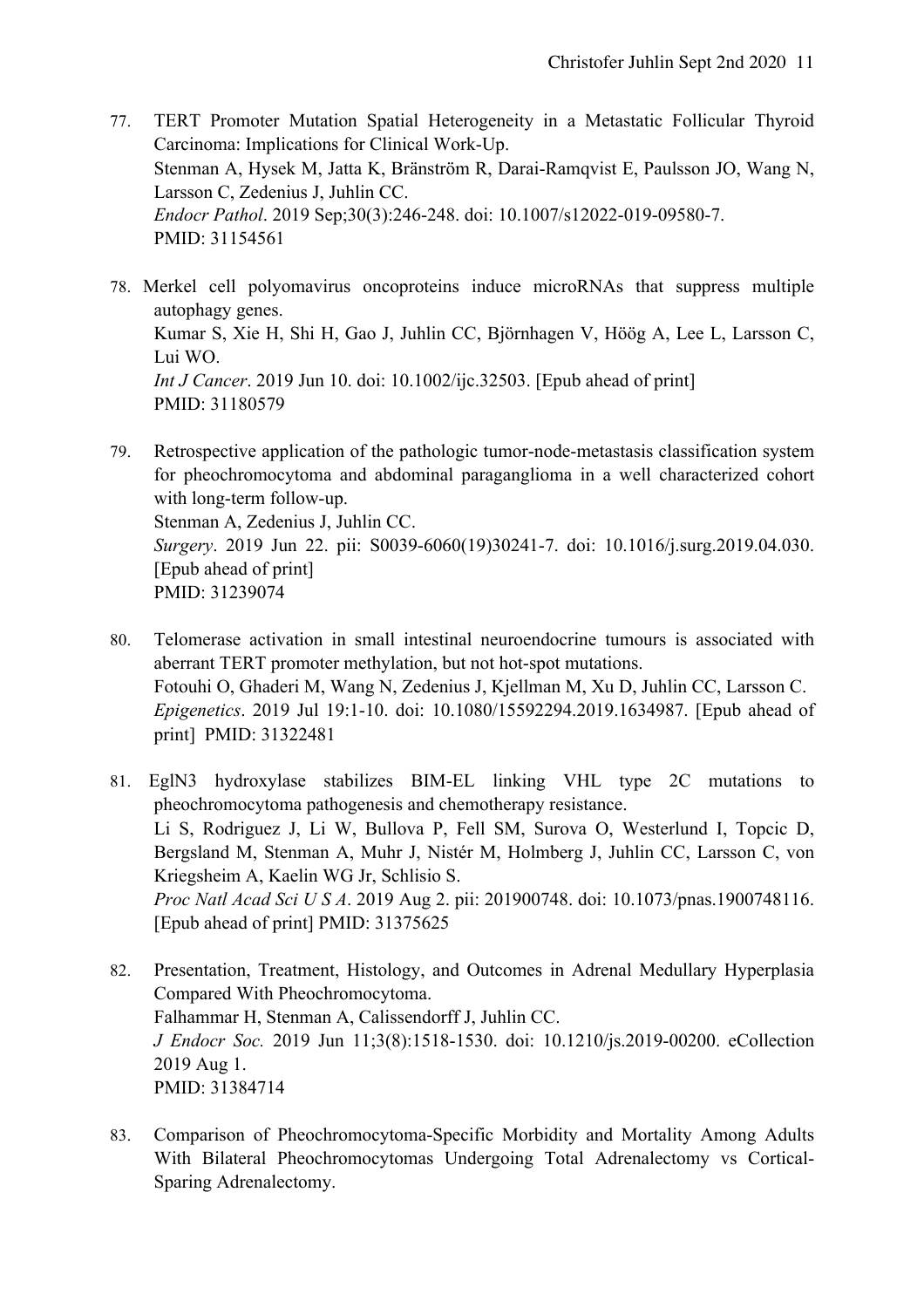- 77. TERT Promoter Mutation Spatial Heterogeneity in a Metastatic Follicular Thyroid Carcinoma: Implications for Clinical Work-Up. Stenman A, Hysek M, Jatta K, Bränström R, Darai-Ramqvist E, Paulsson JO, Wang N, Larsson C, Zedenius J, Juhlin CC. *Endocr Pathol*. 2019 Sep;30(3):246-248. doi: 10.1007/s12022-019-09580-7. PMID: 31154561
- 78. Merkel cell polyomavirus oncoproteins induce microRNAs that suppress multiple autophagy genes. Kumar S, Xie H, Shi H, Gao J, Juhlin CC, Björnhagen V, Höög A, Lee L, Larsson C, Lui WO. *Int J Cancer*. 2019 Jun 10. doi: 10.1002/ijc.32503. [Epub ahead of print] PMID: 31180579
- 79. Retrospective application of the pathologic tumor-node-metastasis classification system for pheochromocytoma and abdominal paraganglioma in a well characterized cohort with long-term follow-up. Stenman A, Zedenius J, Juhlin CC. *Surgery*. 2019 Jun 22. pii: S0039-6060(19)30241-7. doi: 10.1016/j.surg.2019.04.030. [Epub ahead of print] PMID: 31239074
- 80. Telomerase activation in small intestinal neuroendocrine tumours is associated with aberrant TERT promoter methylation, but not hot-spot mutations. Fotouhi O, Ghaderi M, Wang N, Zedenius J, Kjellman M, Xu D, Juhlin CC, Larsson C. *Epigenetics*. 2019 Jul 19:1-10. doi: 10.1080/15592294.2019.1634987. [Epub ahead of print] PMID: 31322481
- 81. EglN3 hydroxylase stabilizes BIM-EL linking VHL type 2C mutations to pheochromocytoma pathogenesis and chemotherapy resistance. Li S, Rodriguez J, Li W, Bullova P, Fell SM, Surova O, Westerlund I, Topcic D, Bergsland M, Stenman A, Muhr J, Nistér M, Holmberg J, Juhlin CC, Larsson C, von Kriegsheim A, Kaelin WG Jr, Schlisio S. *Proc Natl Acad Sci U S A*. 2019 Aug 2. pii: 201900748. doi: 10.1073/pnas.1900748116. [Epub ahead of print] PMID: 31375625
- 82. Presentation, Treatment, Histology, and Outcomes in Adrenal Medullary Hyperplasia Compared With Pheochromocytoma. Falhammar H, Stenman A, Calissendorff J, Juhlin CC. *J Endocr Soc.* 2019 Jun 11;3(8):1518-1530. doi: 10.1210/js.2019-00200. eCollection 2019 Aug 1. PMID: 31384714
- 83. Comparison of Pheochromocytoma-Specific Morbidity and Mortality Among Adults With Bilateral Pheochromocytomas Undergoing Total Adrenalectomy vs Cortical-Sparing Adrenalectomy.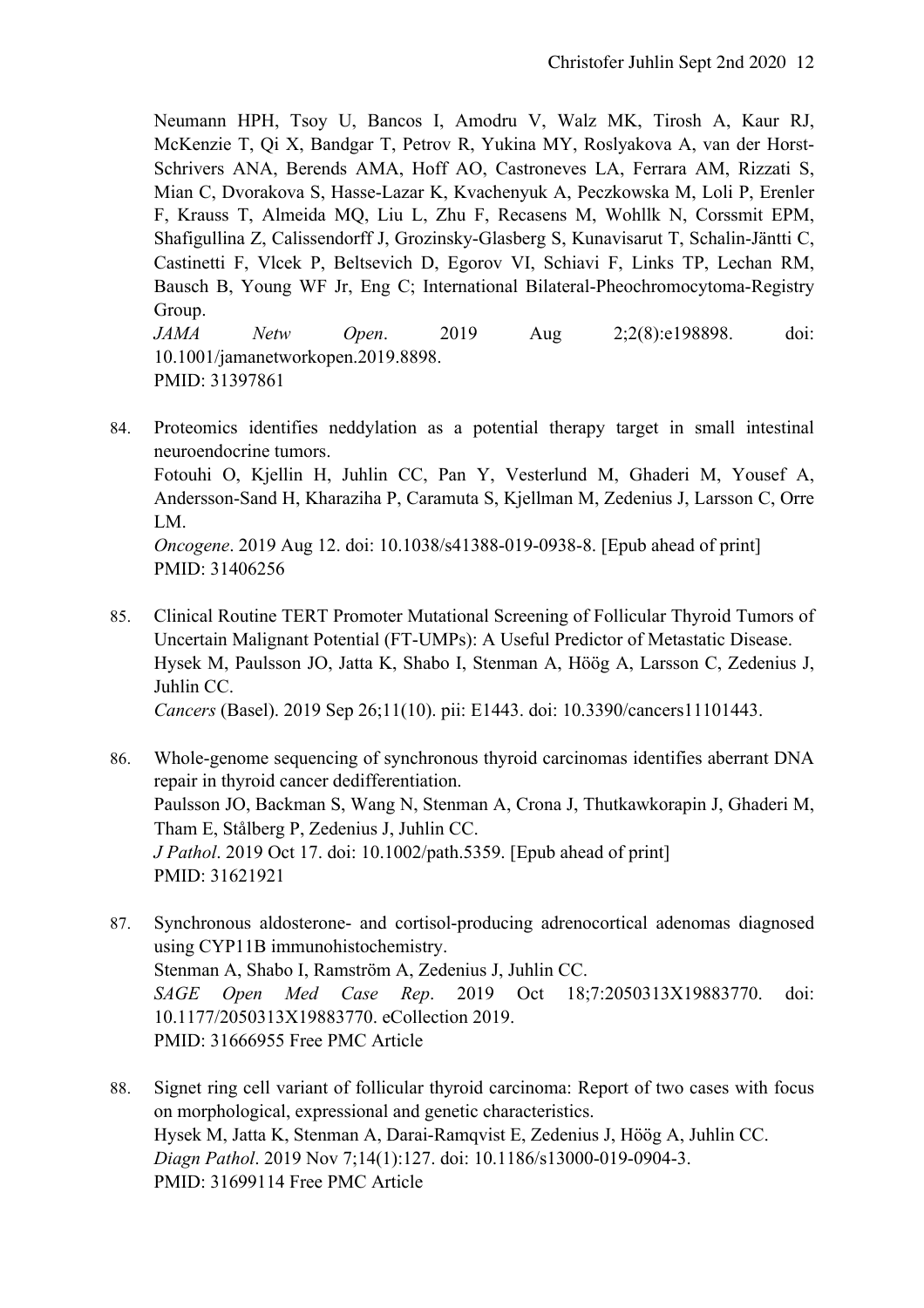Neumann HPH, Tsoy U, Bancos I, Amodru V, Walz MK, Tirosh A, Kaur RJ, McKenzie T, Qi X, Bandgar T, Petrov R, Yukina MY, Roslyakova A, van der Horst-Schrivers ANA, Berends AMA, Hoff AO, Castroneves LA, Ferrara AM, Rizzati S, Mian C, Dvorakova S, Hasse-Lazar K, Kvachenyuk A, Peczkowska M, Loli P, Erenler F, Krauss T, Almeida MQ, Liu L, Zhu F, Recasens M, Wohllk N, Corssmit EPM, Shafigullina Z, Calissendorff J, Grozinsky-Glasberg S, Kunavisarut T, Schalin-Jäntti C, Castinetti F, Vlcek P, Beltsevich D, Egorov VI, Schiavi F, Links TP, Lechan RM, Bausch B, Young WF Jr, Eng C; International Bilateral-Pheochromocytoma-Registry Group. *JAMA Netw Open*. 2019 Aug 2;2(8):e198898. doi: 10.1001/jamanetworkopen.2019.8898.

PMID: 31397861

84. Proteomics identifies neddylation as a potential therapy target in small intestinal neuroendocrine tumors.

Fotouhi O, Kjellin H, Juhlin CC, Pan Y, Vesterlund M, Ghaderi M, Yousef A, Andersson-Sand H, Kharaziha P, Caramuta S, Kjellman M, Zedenius J, Larsson C, Orre LM.

*Oncogene*. 2019 Aug 12. doi: 10.1038/s41388-019-0938-8. [Epub ahead of print] PMID: 31406256

- 85. Clinical Routine TERT Promoter Mutational Screening of Follicular Thyroid Tumors of Uncertain Malignant Potential (FT-UMPs): A Useful Predictor of Metastatic Disease. Hysek M, Paulsson JO, Jatta K, Shabo I, Stenman A, Höög A, Larsson C, Zedenius J, Juhlin CC. *Cancers* (Basel). 2019 Sep 26;11(10). pii: E1443. doi: 10.3390/cancers11101443.
- 86. Whole-genome sequencing of synchronous thyroid carcinomas identifies aberrant DNA repair in thyroid cancer dedifferentiation. Paulsson JO, Backman S, Wang N, Stenman A, Crona J, Thutkawkorapin J, Ghaderi M, Tham E, Stålberg P, Zedenius J, Juhlin CC. *J Pathol*. 2019 Oct 17. doi: 10.1002/path.5359. [Epub ahead of print] PMID: 31621921
- 87. Synchronous aldosterone- and cortisol-producing adrenocortical adenomas diagnosed using CYP11B immunohistochemistry. Stenman A, Shabo I, Ramström A, Zedenius J, Juhlin CC. *SAGE Open Med Case Rep*. 2019 Oct 18;7:2050313X19883770. doi: 10.1177/2050313X19883770. eCollection 2019. PMID: 31666955 Free PMC Article
- 88. Signet ring cell variant of follicular thyroid carcinoma: Report of two cases with focus on morphological, expressional and genetic characteristics. Hysek M, Jatta K, Stenman A, Darai-Ramqvist E, Zedenius J, Höög A, Juhlin CC. *Diagn Pathol*. 2019 Nov 7;14(1):127. doi: 10.1186/s13000-019-0904-3. PMID: 31699114 Free PMC Article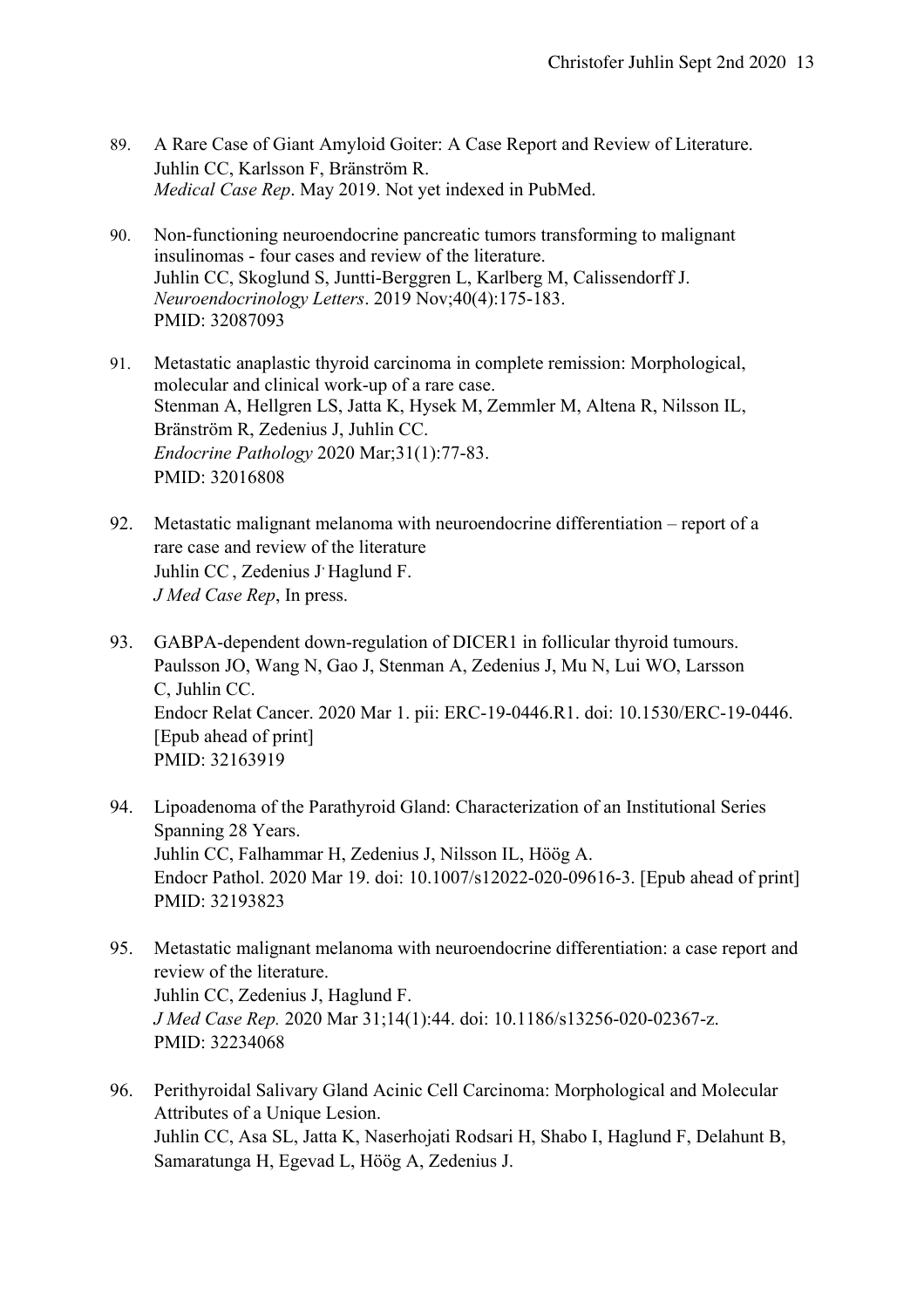- 89. A Rare Case of Giant Amyloid Goiter: A Case Report and Review of Literature. Juhlin CC, Karlsson F, Bränström R. *Medical Case Rep*. May 2019. Not yet indexed in PubMed.
- 90. Non-functioning neuroendocrine pancreatic tumors transforming to malignant insulinomas - four cases and review of the literature. Juhlin CC, Skoglund S, Juntti-Berggren L, Karlberg M, Calissendorff J. *Neuroendocrinology Letters*. 2019 Nov;40(4):175-183. PMID: 32087093
- 91. Metastatic anaplastic thyroid carcinoma in complete remission: Morphological, molecular and clinical work-up of a rare case. Stenman A, Hellgren LS, Jatta K, Hysek M, Zemmler M, Altena R, Nilsson IL, Bränström R, Zedenius J, Juhlin CC. *Endocrine Pathology* 2020 Mar;31(1):77-83. PMID: 32016808
- 92. Metastatic malignant melanoma with neuroendocrine differentiation report of a rare case and review of the literature Juhlin CC, Zedenius J<sup>,</sup> Haglund F. *J Med Case Rep*, In press.
- 93. GABPA-dependent down-regulation of DICER1 in follicular thyroid tumours. Paulsson JO, Wang N, Gao J, Stenman A, Zedenius J, Mu N, Lui WO, Larsson C, Juhlin CC. Endocr Relat Cancer. 2020 Mar 1. pii: ERC-19-0446.R1. doi: 10.1530/ERC-19-0446. [Epub ahead of print] PMID: 32163919
- 94. Lipoadenoma of the Parathyroid Gland: Characterization of an Institutional Series Spanning 28 Years. Juhlin CC, Falhammar H, Zedenius J, Nilsson IL, Höög A. Endocr Pathol. 2020 Mar 19. doi: 10.1007/s12022-020-09616-3. [Epub ahead of print] PMID: 32193823
- 95. Metastatic malignant melanoma with neuroendocrine differentiation: a case report and review of the literature. Juhlin CC, Zedenius J, Haglund F. *J Med Case Rep.* 2020 Mar 31;14(1):44. doi: 10.1186/s13256-020-02367-z. PMID: 32234068
- 96. Perithyroidal Salivary Gland Acinic Cell Carcinoma: Morphological and Molecular Attributes of a Unique Lesion. Juhlin CC, Asa SL, Jatta K, Naserhojati Rodsari H, Shabo I, Haglund F, Delahunt B, Samaratunga H, Egevad L, Höög A, Zedenius J.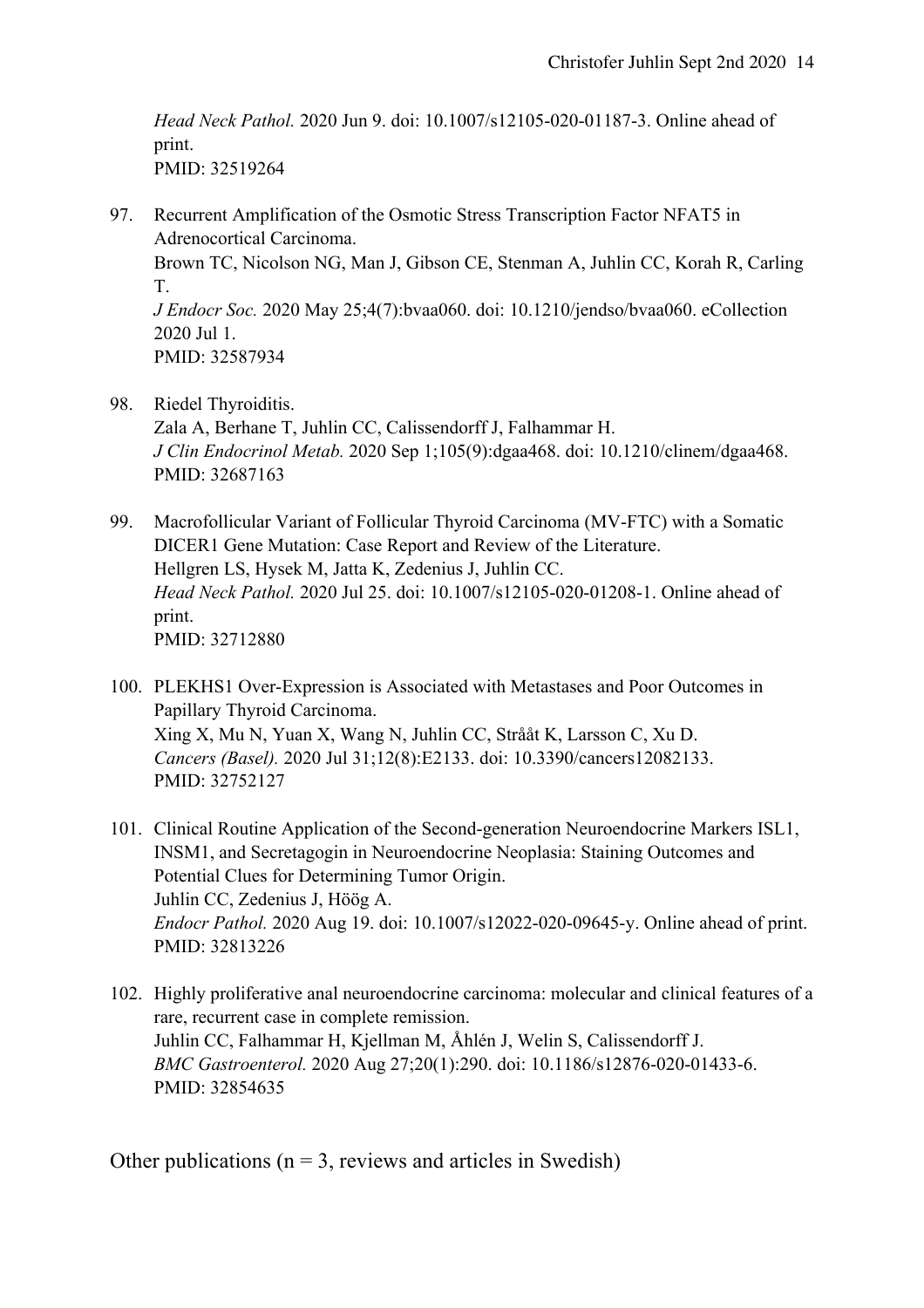*Head Neck Pathol.* 2020 Jun 9. doi: 10.1007/s12105-020-01187-3. Online ahead of print. PMID: 32519264

- 97. Recurrent Amplification of the Osmotic Stress Transcription Factor NFAT5 in Adrenocortical Carcinoma. Brown TC, Nicolson NG, Man J, Gibson CE, Stenman A, Juhlin CC, Korah R, Carling T. *J Endocr Soc.* 2020 May 25;4(7):bvaa060. doi: 10.1210/jendso/bvaa060. eCollection 2020 Jul 1. PMID: 32587934
- 98. Riedel Thyroiditis. Zala A, Berhane T, Juhlin CC, Calissendorff J, Falhammar H. *J Clin Endocrinol Metab.* 2020 Sep 1;105(9):dgaa468. doi: 10.1210/clinem/dgaa468. PMID: 32687163
- 99. Macrofollicular Variant of Follicular Thyroid Carcinoma (MV-FTC) with a Somatic DICER1 Gene Mutation: Case Report and Review of the Literature. Hellgren LS, Hysek M, Jatta K, Zedenius J, Juhlin CC. *Head Neck Pathol.* 2020 Jul 25. doi: 10.1007/s12105-020-01208-1. Online ahead of print. PMID: 32712880
- 100. PLEKHS1 Over-Expression is Associated with Metastases and Poor Outcomes in Papillary Thyroid Carcinoma. Xing X, Mu N, Yuan X, Wang N, Juhlin CC, Strååt K, Larsson C, Xu D. *Cancers (Basel).* 2020 Jul 31;12(8):E2133. doi: 10.3390/cancers12082133. PMID: 32752127
- 101. Clinical Routine Application of the Second-generation Neuroendocrine Markers ISL1, INSM1, and Secretagogin in Neuroendocrine Neoplasia: Staining Outcomes and Potential Clues for Determining Tumor Origin. Juhlin CC, Zedenius J, Höög A. *Endocr Pathol.* 2020 Aug 19. doi: 10.1007/s12022-020-09645-y. Online ahead of print. PMID: 32813226
- 102. Highly proliferative anal neuroendocrine carcinoma: molecular and clinical features of a rare, recurrent case in complete remission. Juhlin CC, Falhammar H, Kjellman M, Åhlén J, Welin S, Calissendorff J. *BMC Gastroenterol.* 2020 Aug 27;20(1):290. doi: 10.1186/s12876-020-01433-6. PMID: 32854635

Other publications ( $n = 3$ , reviews and articles in Swedish)